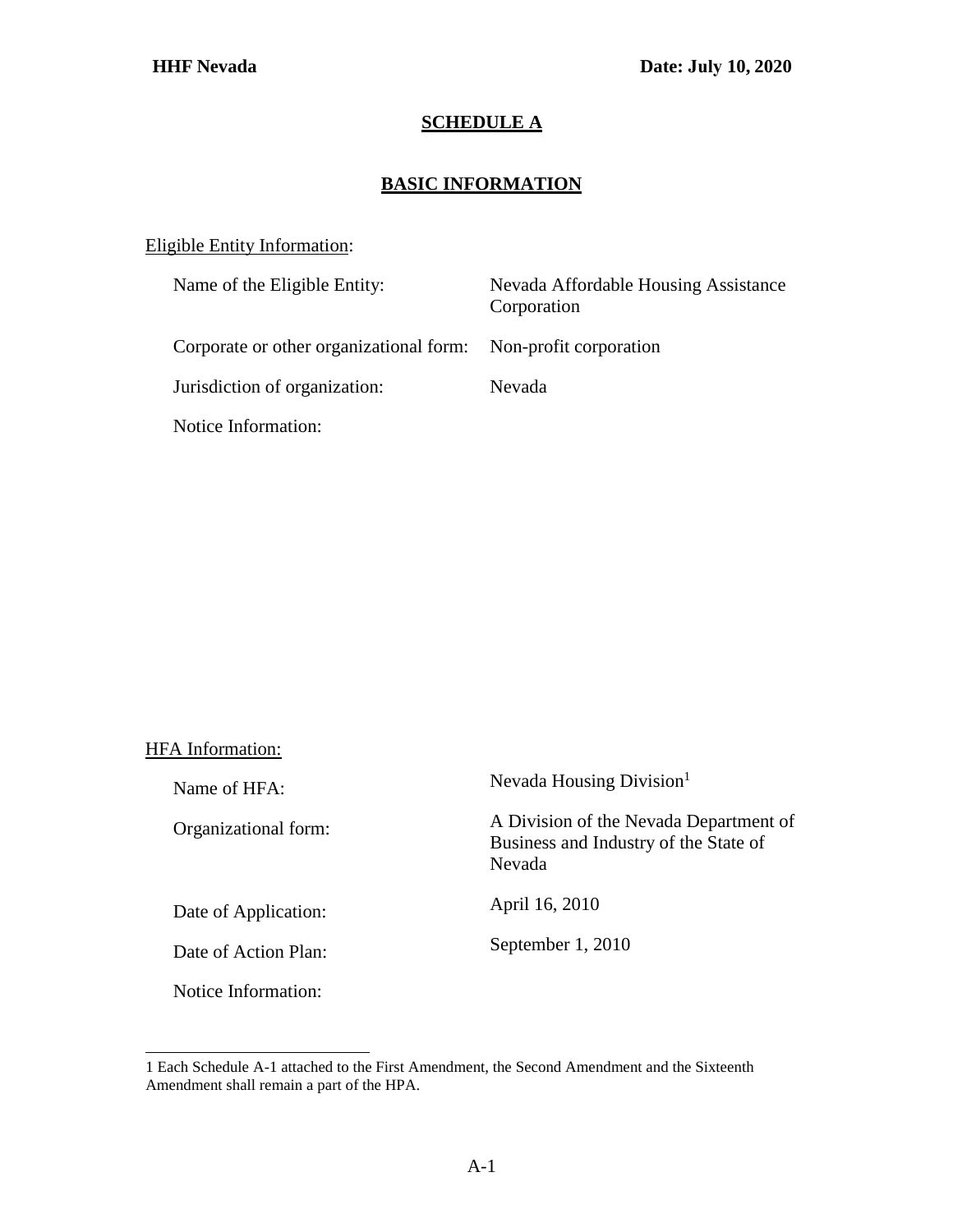## **SCHEDULE A**

## **BASIC INFORMATION**

## Eligible Entity Information:

| Name of the Eligible Entity:                                   | Nevada Affordable Housing Assistance<br>Corporation |
|----------------------------------------------------------------|-----------------------------------------------------|
| Corporate or other organizational form: Non-profit corporation |                                                     |
| Jurisdiction of organization:                                  | Nevada                                              |
| Notice Information:                                            |                                                     |

## HFA Information:

| Name of HFA:         | Nevada Housing Division <sup>1</sup>                                                      |
|----------------------|-------------------------------------------------------------------------------------------|
| Organizational form: | A Division of the Nevada Department of<br>Business and Industry of the State of<br>Nevada |
| Date of Application: | April 16, 2010                                                                            |
| Date of Action Plan: | September 1, 2010                                                                         |
| Notice Information:  |                                                                                           |

<span id="page-0-0"></span><sup>1</sup> Each Schedule A-1 attached to the First Amendment, the Second Amendment and the Sixteenth Amendment shall remain a part of the HPA.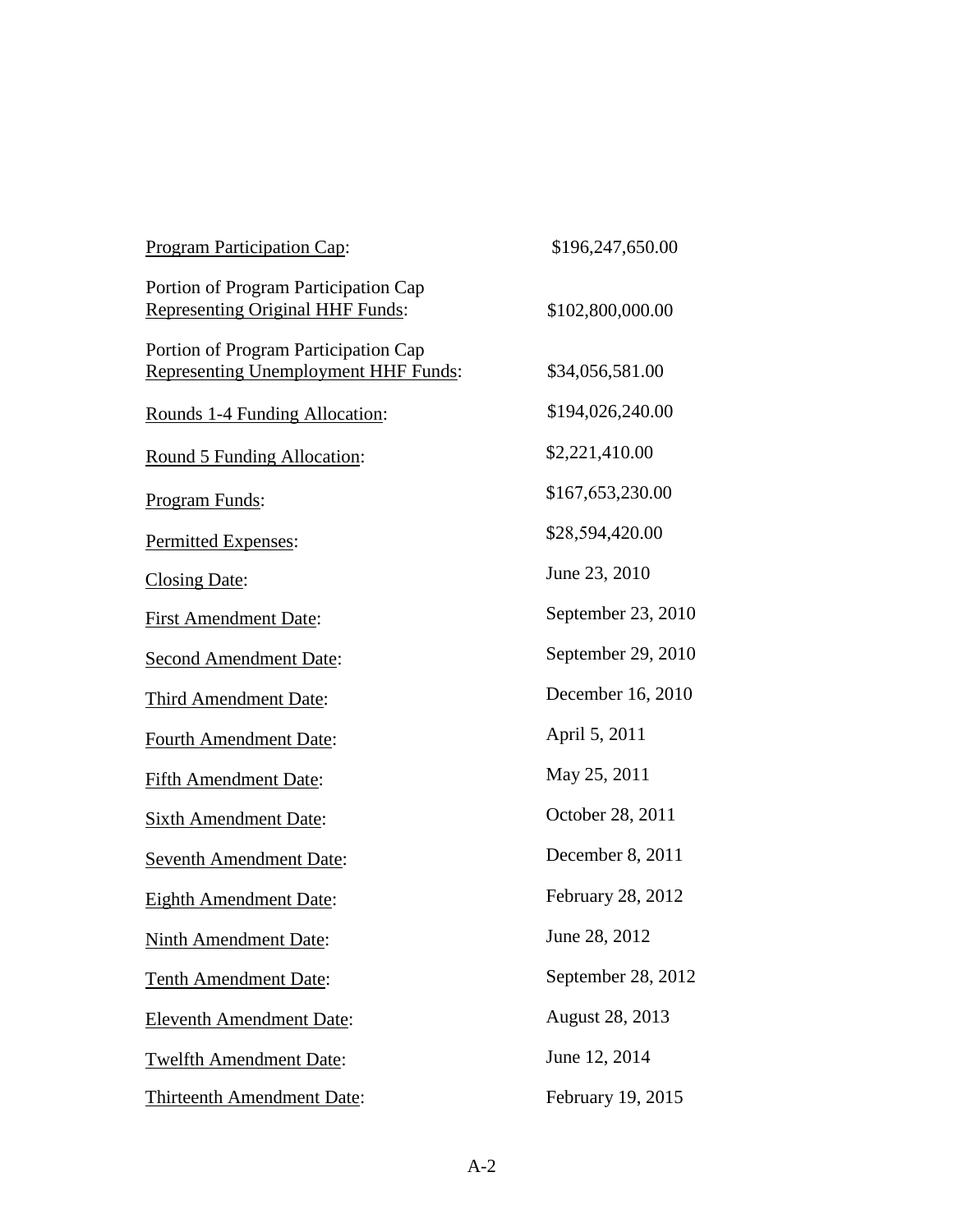| <b>Program Participation Cap:</b>                                                   | \$196,247,650.00   |
|-------------------------------------------------------------------------------------|--------------------|
| Portion of Program Participation Cap<br><b>Representing Original HHF Funds:</b>     | \$102,800,000.00   |
| Portion of Program Participation Cap<br><b>Representing Unemployment HHF Funds:</b> | \$34,056,581.00    |
| Rounds 1-4 Funding Allocation:                                                      | \$194,026,240.00   |
| Round 5 Funding Allocation:                                                         | \$2,221,410.00     |
| Program Funds:                                                                      | \$167,653,230.00   |
| Permitted Expenses:                                                                 | \$28,594,420.00    |
| Closing Date:                                                                       | June 23, 2010      |
| <b>First Amendment Date:</b>                                                        | September 23, 2010 |
| <b>Second Amendment Date:</b>                                                       | September 29, 2010 |
| <b>Third Amendment Date:</b>                                                        | December 16, 2010  |
| <b>Fourth Amendment Date:</b>                                                       | April 5, 2011      |
| <b>Fifth Amendment Date:</b>                                                        | May 25, 2011       |
| <b>Sixth Amendment Date:</b>                                                        | October 28, 2011   |
| Seventh Amendment Date:                                                             | December 8, 2011   |
| <b>Eighth Amendment Date:</b>                                                       | February 28, 2012  |
| <b>Ninth Amendment Date:</b>                                                        | June 28, 2012      |
| <b>Tenth Amendment Date:</b>                                                        | September 28, 2012 |
| <b>Eleventh Amendment Date:</b>                                                     | August 28, 2013    |
| <b>Twelfth Amendment Date:</b>                                                      | June 12, 2014      |
| Thirteenth Amendment Date:                                                          | February 19, 2015  |